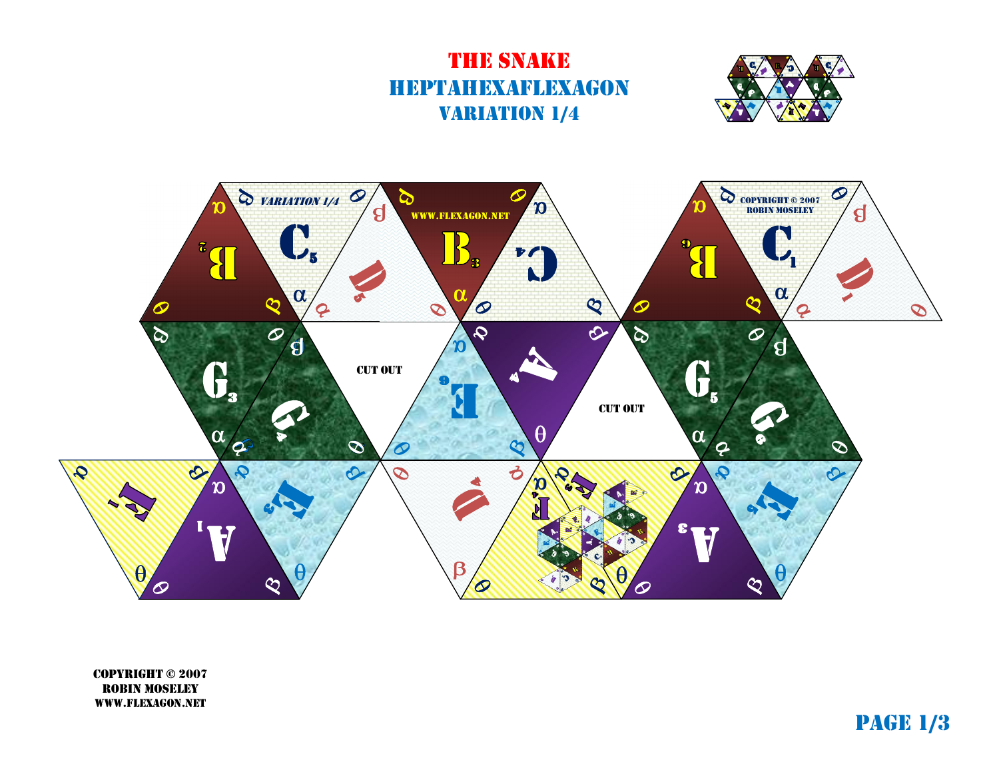## **THE SNAKE** heptahexaflexagon **VARIATION 1/4**





copyright © 2007 robin moseley www.flexagon.net

page 1/3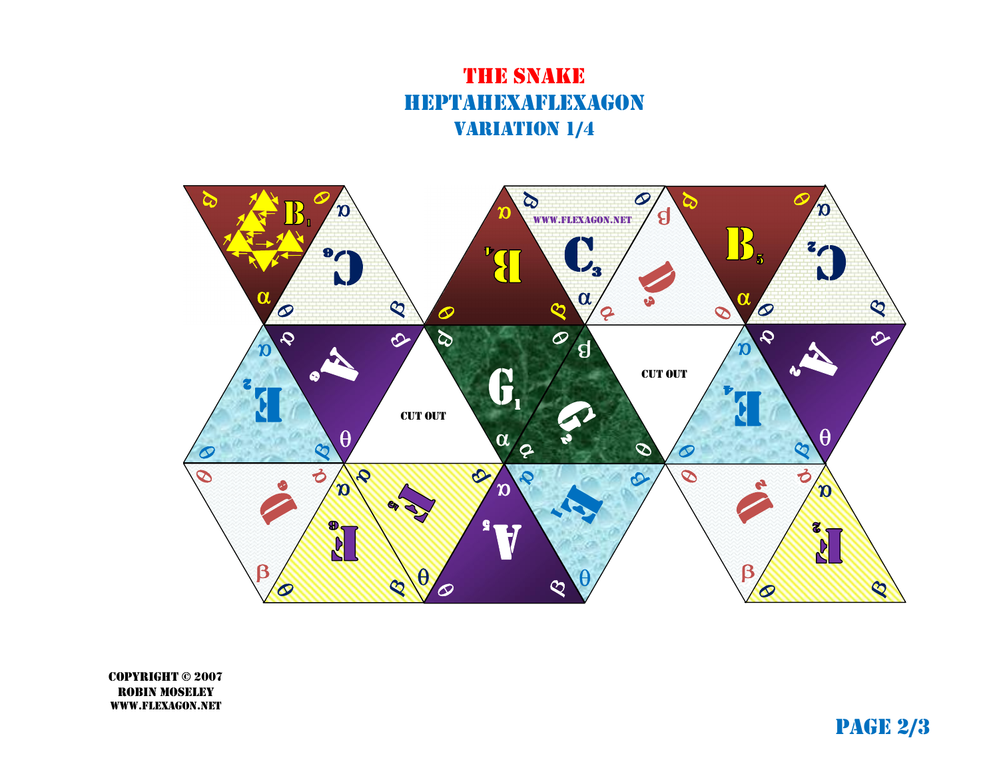## the snake heptahexaflexagon **VARIATION 1/4**



copyright © 2007 robin moseley www.flexagon.net

page 2/3